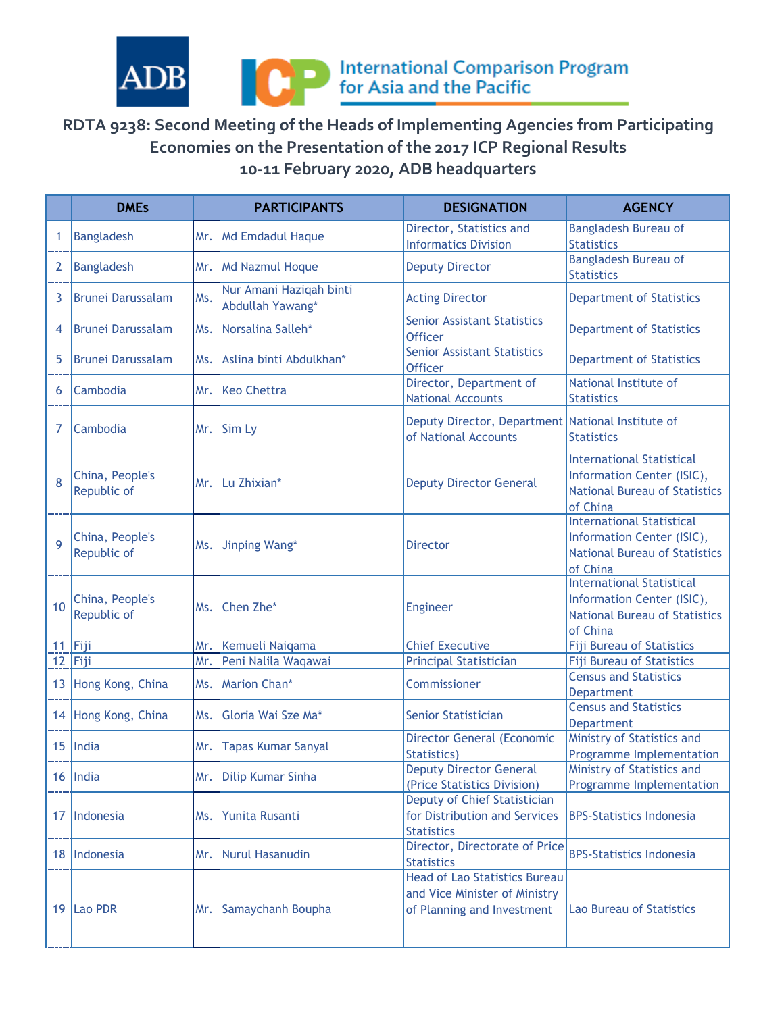



## **RDTA 9238: Second Meeting of the Heads of Implementing Agencies from Participating Economies on the Presentation of the 2017 ICP Regional Results 10-11 February 2020, ADB headquarters**

|              | <b>DMEs</b>                    | <b>PARTICIPANTS</b>                                | <b>DESIGNATION</b>                                                                                  | <b>AGENCY</b>                                                                                                      |
|--------------|--------------------------------|----------------------------------------------------|-----------------------------------------------------------------------------------------------------|--------------------------------------------------------------------------------------------------------------------|
| 1            | <b>Bangladesh</b>              | Mr. Md Emdadul Haque                               | Director, Statistics and<br><b>Informatics Division</b>                                             | <b>Bangladesh Bureau of</b><br><b>Statistics</b>                                                                   |
| 2            | <b>Bangladesh</b>              | Mr. Md Nazmul Hoque                                | <b>Deputy Director</b>                                                                              | <b>Bangladesh Bureau of</b><br><b>Statistics</b>                                                                   |
| 3            | <b>Brunei Darussalam</b>       | Nur Amani Haziqah binti<br>Ms.<br>Abdullah Yawang* | <b>Acting Director</b>                                                                              | <b>Department of Statistics</b>                                                                                    |
| 4            | <b>Brunei Darussalam</b>       | Ms. Norsalina Salleh*                              | <b>Senior Assistant Statistics</b><br><b>Officer</b>                                                | <b>Department of Statistics</b>                                                                                    |
| 5            | <b>Brunei Darussalam</b>       | Ms. Aslina binti Abdulkhan*                        | <b>Senior Assistant Statistics</b><br><b>Officer</b>                                                | <b>Department of Statistics</b>                                                                                    |
| 6            | Cambodia                       | Mr. Keo Chettra                                    | Director, Department of<br><b>National Accounts</b>                                                 | National Institute of<br><b>Statistics</b>                                                                         |
| 7            | Cambodia                       | Mr. Sim Ly                                         | Deputy Director, Department National Institute of<br>of National Accounts                           | <b>Statistics</b>                                                                                                  |
| 8            | China, People's<br>Republic of | Mr. Lu Zhixian*                                    | <b>Deputy Director General</b>                                                                      | <b>International Statistical</b><br>Information Center (ISIC),<br><b>National Bureau of Statistics</b><br>of China |
| $\mathbf{Q}$ | China, People's<br>Republic of | Ms. Jinping Wang*                                  | <b>Director</b>                                                                                     | <b>International Statistical</b><br>Information Center (ISIC),<br><b>National Bureau of Statistics</b><br>of China |
| 10           | China, People's<br>Republic of | Ms. Chen Zhe*                                      | Engineer                                                                                            | <b>International Statistical</b><br>Information Center (ISIC),<br><b>National Bureau of Statistics</b><br>of China |
|              | $11$ Fiji                      | Mr. Kemueli Naiqama                                | <b>Chief Executive</b>                                                                              | <b>Fiji Bureau of Statistics</b>                                                                                   |
|              | $12$ Fiji                      | Peni Nalila Waqawai<br>Mr.                         | <b>Principal Statistician</b>                                                                       | <b>Fiji Bureau of Statistics</b>                                                                                   |
|              | 13 Hong Kong, China            | Ms. Marion Chan*                                   | Commissioner                                                                                        | <b>Census and Statistics</b><br><b>Department</b>                                                                  |
|              | 14 Hong Kong, China            | Ms. Gloria Wai Sze Ma*                             | <b>Senior Statistician</b>                                                                          | <b>Census and Statistics</b><br><b>Department</b>                                                                  |
|              | $15$ India                     | Mr. Tapas Kumar Sanyal                             | <b>Director General (Economic</b><br>Statistics)                                                    | Ministry of Statistics and<br>Programme Implementation                                                             |
|              | 16 India                       | Mr. Dilip Kumar Sinha                              | <b>Deputy Director General</b><br>(Price Statistics Division)                                       | Ministry of Statistics and<br>Programme Implementation                                                             |
|              | 17 Indonesia                   | Ms. Yunita Rusanti                                 | Deputy of Chief Statistician<br>for Distribution and Services<br><b>Statistics</b>                  | <b>BPS-Statistics Indonesia</b>                                                                                    |
|              | 18 Indonesia                   | Mr. Nurul Hasanudin                                | Director, Directorate of Price<br><b>Statistics</b>                                                 | <b>BPS-Statistics Indonesia</b>                                                                                    |
|              | 19 Lao PDR                     | Mr. Samaychanh Boupha                              | <b>Head of Lao Statistics Bureau</b><br>and Vice Minister of Ministry<br>of Planning and Investment | <b>Lao Bureau of Statistics</b>                                                                                    |